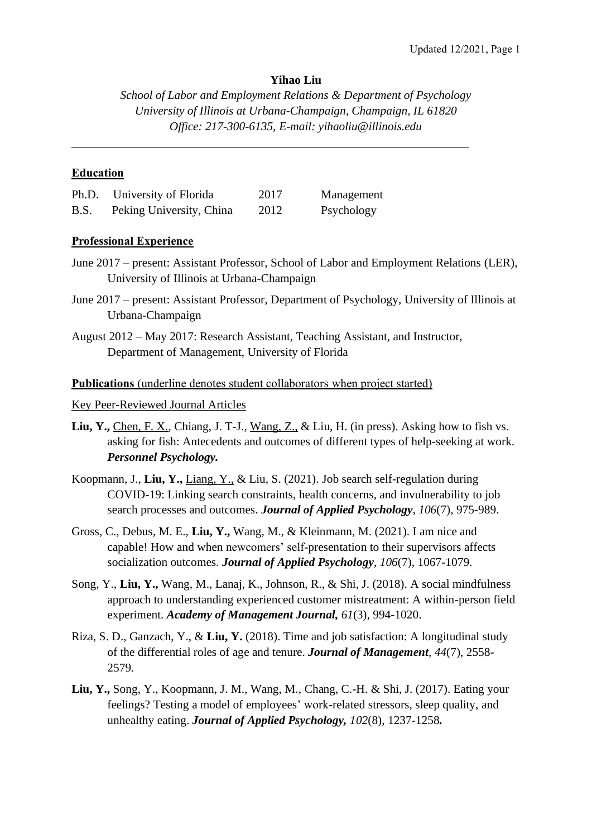# **Yihao Liu**

*School of Labor and Employment Relations & Department of Psychology University of Illinois at Urbana-Champaign, Champaign, IL 61820 Office: 217-300-6135, E-mail: yihaoliu@illinois.edu*

## **Education**

 $\overline{a}$ 

| Ph.D. | University of Florida    | 2017 | Management |
|-------|--------------------------|------|------------|
| B.S.  | Peking University, China | 2012 | Psychology |

## **Professional Experience**

- June 2017 present: Assistant Professor, School of Labor and Employment Relations (LER), University of Illinois at Urbana-Champaign
- June 2017 present: Assistant Professor, Department of Psychology, University of Illinois at Urbana-Champaign
- August 2012 May 2017: Research Assistant, Teaching Assistant, and Instructor, Department of Management, University of Florida

### **Publications** (underline denotes student collaborators when project started)

Key Peer-Reviewed Journal Articles

- **Liu, Y.,** Chen, F. X., Chiang, J. T-J., Wang, Z., & Liu, H. (in press). Asking how to fish vs. asking for fish: Antecedents and outcomes of different types of help-seeking at work. *Personnel Psychology.*
- Koopmann, J., **Liu, Y.,** Liang, Y., & Liu, S. (2021). Job search self-regulation during COVID-19: Linking search constraints, health concerns, and invulnerability to job search processes and outcomes. *Journal of Applied Psychology*, *106*(7), 975-989.
- Gross, C., Debus, M. E., **Liu, Y.,** Wang, M., & Kleinmann, M. (2021). I am nice and capable! How and when newcomers' self-presentation to their supervisors affects socialization outcomes. *Journal of Applied Psychology*, *106*(7), 1067-1079.
- Song, Y., **Liu, Y.,** Wang, M., Lanaj, K., Johnson, R., & Shi, J. (2018). A social mindfulness approach to understanding experienced customer mistreatment: A within-person field experiment. *Academy of Management Journal, 61*(3)*,* 994-1020.
- Riza, S. D., Ganzach, Y., & **Liu, Y.** (2018). Time and job satisfaction: A longitudinal study of the differential roles of age and tenure. *Journal of Management, 44*(7)*,* 2558- 2579*.*
- **Liu, Y.,** Song, Y., Koopmann, J. M., Wang, M., Chang, C.-H. & Shi, J. (2017). Eating your feelings? Testing a model of employees' work-related stressors, sleep quality, and unhealthy eating. *Journal of Applied Psychology, 102*(8)*,* 1237-1258*.*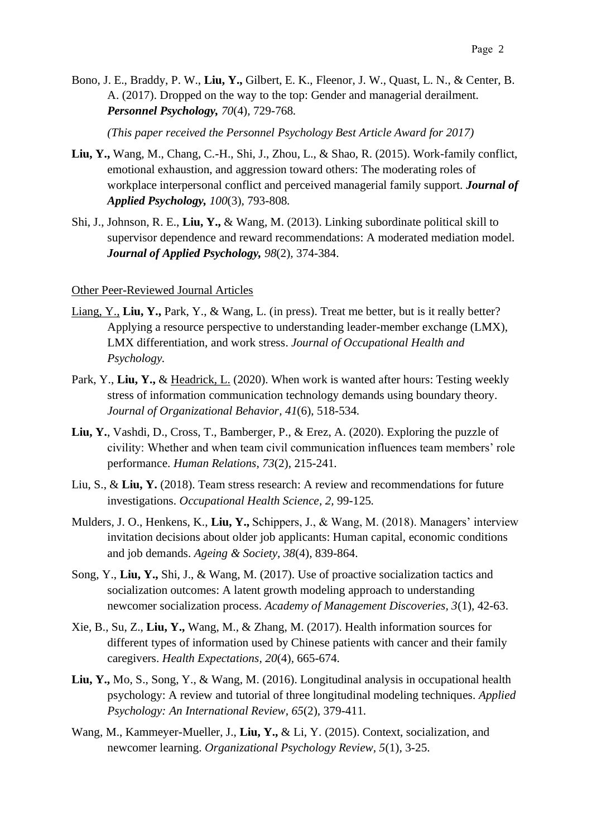Bono, J. E., Braddy, P. W., **Liu, Y.,** Gilbert, E. K., Fleenor, J. W., Quast, L. N., & Center, B. A. (2017). Dropped on the way to the top: Gender and managerial derailment. *Personnel Psychology, 70*(4)*,* 729-768*.*

*(This paper received the Personnel Psychology Best Article Award for 2017)*

- **Liu, Y.,** Wang, M., Chang, C.-H., Shi, J., Zhou, L., & Shao, R. (2015). Work-family conflict, emotional exhaustion, and aggression toward others: The moderating roles of workplace interpersonal conflict and perceived managerial family support. *Journal of Applied Psychology, 100*(3)*,* 793-808*.*
- Shi, J., Johnson, R. E., **Liu, Y.,** & Wang, M. (2013). Linking subordinate political skill to supervisor dependence and reward recommendations: A moderated mediation model. *Journal of Applied Psychology, 98*(2)*,* 374-384.

#### Other Peer-Reviewed Journal Articles

- Liang, Y., **Liu, Y.,** Park, Y., & Wang, L. (in press). Treat me better, but is it really better? Applying a resource perspective to understanding leader-member exchange (LMX), LMX differentiation, and work stress. *Journal of Occupational Health and Psychology.*
- Park, Y., **Liu, Y.,** & Headrick, L. (2020). When work is wanted after hours: Testing weekly stress of information communication technology demands using boundary theory. *Journal of Organizational Behavior, 41*(6), 518-534*.*
- **Liu, Y.**, Vashdi, D., Cross, T., Bamberger, P., & Erez, A. (2020). Exploring the puzzle of civility: Whether and when team civil communication influences team members' role performance. *Human Relations, 73*(2), 215-241*.*
- Liu, S., & **Liu, Y.** (2018). Team stress research: A review and recommendations for future investigations. *Occupational Health Science, 2,* 99-125*.*
- Mulders, J. O., Henkens, K., **Liu, Y.,** Schippers, J., & Wang, M. (2018). Managers' interview invitation decisions about older job applicants: Human capital, economic conditions and job demands. *Ageing & Society, 38*(4)*,* 839-864.
- Song, Y., **Liu, Y.,** Shi, J., & Wang, M. (2017). Use of proactive socialization tactics and socialization outcomes: A latent growth modeling approach to understanding newcomer socialization process. *Academy of Management Discoveries, 3*(1)*,* 42-63.
- Xie, B., Su, Z., **Liu, Y.,** Wang, M., & Zhang, M. (2017). Health information sources for different types of information used by Chinese patients with cancer and their family caregivers. *Health Expectations, 20*(4)*,* 665-674.
- **Liu, Y.,** Mo, S., Song, Y., & Wang, M. (2016). Longitudinal analysis in occupational health psychology: A review and tutorial of three longitudinal modeling techniques. *Applied Psychology: An International Review, 65*(2)*,* 379-411*.*
- Wang, M., Kammeyer-Mueller, J., **Liu, Y.,** & Li, Y. (2015). Context, socialization, and newcomer learning. *Organizational Psychology Review, 5*(1)*,* 3-25.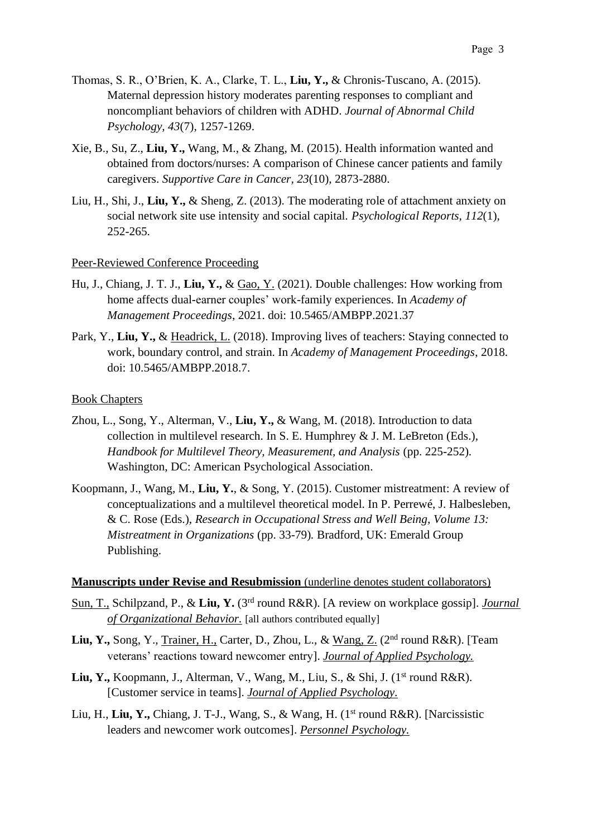- Thomas, S. R., O'Brien, K. A., Clarke, T. L., **Liu, Y.,** & Chronis-Tuscano, A. (2015). Maternal depression history moderates parenting responses to compliant and noncompliant behaviors of children with ADHD. *Journal of Abnormal Child Psychology, 43*(7)*,* 1257-1269.
- Xie, B., Su, Z., **Liu, Y.,** Wang, M., & Zhang, M. (2015). Health information wanted and obtained from doctors/nurses: A comparison of Chinese cancer patients and family caregivers. *Supportive Care in Cancer, 23*(10)*,* 2873-2880.
- Liu, H., Shi, J., **Liu, Y.,** & Sheng, Z. (2013). The moderating role of attachment anxiety on social network site use intensity and social capital. *Psychological Reports, 112*(1)*,* 252-265.

#### Peer-Reviewed Conference Proceeding

- Hu, J., Chiang, J. T. J., **Liu, Y.,** & Gao, Y. (2021). Double challenges: How working from home affects dual-earner couples' work-family experiences. In *Academy of Management Proceedings*, 2021. doi: 10.5465/AMBPP.2021.37
- Park, Y., **Liu, Y.,** & Headrick, L. (2018). Improving lives of teachers: Staying connected to work, boundary control, and strain. In *Academy of Management Proceedings*, 2018. doi: 10.5465/AMBPP.2018.7.

### Book Chapters

- Zhou, L., Song, Y., Alterman, V., **Liu, Y.,** & Wang, M. (2018). Introduction to data collection in multilevel research. In S. E. Humphrey & J. M. LeBreton (Eds.), *Handbook for Multilevel Theory, Measurement, and Analysis* (pp. 225-252)*.* Washington, DC: American Psychological Association.
- Koopmann, J., Wang, M., **Liu, Y.**, & Song, Y. (2015). Customer mistreatment: A review of conceptualizations and a multilevel theoretical model. In P. Perrewé, J. Halbesleben, & C. Rose (Eds.), *Research in Occupational Stress and Well Being, Volume 13: Mistreatment in Organizations* (pp. 33-79)*.* Bradford, UK: Emerald Group Publishing.

### **Manuscripts under Revise and Resubmission** (underline denotes student collaborators)

- Sun, T., Schilpzand, P., & Liu, Y. (3<sup>rd</sup> round R&R). [A review on workplace gossip]. *Journal of Organizational Behavior.* [all authors contributed equally]
- Liu, Y., Song, Y., Trainer, H., Carter, D., Zhou, L., & Wang, Z. (2<sup>nd</sup> round R&R). [Team veterans' reactions toward newcomer entry]. *Journal of Applied Psychology.*
- Liu, Y., Koopmann, J., Alterman, V., Wang, M., Liu, S., & Shi, J. (1<sup>st</sup> round R&R). [Customer service in teams]. *Journal of Applied Psychology.*
- Liu, H., Liu, Y., Chiang, J. T-J., Wang, S., & Wang, H. (1<sup>st</sup> round R&R). [Narcissistic leaders and newcomer work outcomes]. *Personnel Psychology.*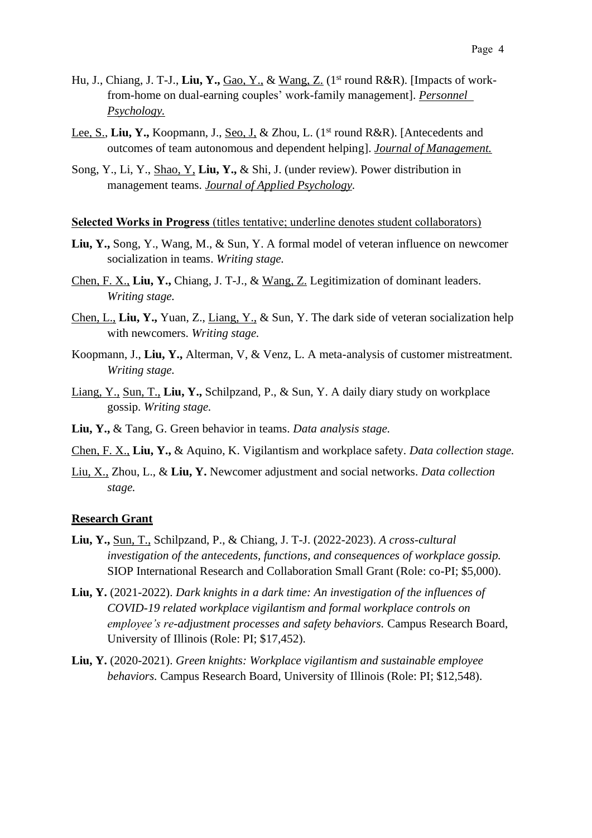- Hu, J., Chiang, J. T-J., Liu, Y., Gao, Y., & Wang, Z. (1<sup>st</sup> round R&R). [Impacts of workfrom-home on dual-earning couples' work-family management]. *Personnel Psychology.*
- Lee, S., Liu, Y., Koopmann, J., Seo, J. & Zhou, L. (1<sup>st</sup> round R&R). [Antecedents and outcomes of team autonomous and dependent helping]. *Journal of Management.*
- Song, Y., Li, Y., Shao, Y, **Liu, Y.,** & Shi, J. (under review). Power distribution in management teams. *Journal of Applied Psychology.*

#### **Selected Works in Progress** (titles tentative; underline denotes student collaborators)

- **Liu, Y.,** Song, Y., Wang, M., & Sun, Y. A formal model of veteran influence on newcomer socialization in teams. *Writing stage.*
- Chen, F. X., **Liu, Y.,** Chiang, J. T-J., & Wang, Z. Legitimization of dominant leaders. *Writing stage.*
- Chen, L., **Liu, Y.,** Yuan, Z., Liang, Y., & Sun, Y. The dark side of veteran socialization help with newcomers. *Writing stage.*
- Koopmann, J., **Liu, Y.,** Alterman, V, & Venz, L. A meta-analysis of customer mistreatment. *Writing stage.*
- Liang, Y., Sun, T., **Liu, Y.,** Schilpzand, P., & Sun, Y. A daily diary study on workplace gossip. *Writing stage.*
- **Liu, Y.,** & Tang, G. Green behavior in teams. *Data analysis stage.*
- Chen, F. X., **Liu, Y.,** & Aquino, K. Vigilantism and workplace safety. *Data collection stage.*
- Liu, X., Zhou, L., & **Liu, Y.** Newcomer adjustment and social networks. *Data collection stage.*

#### **Research Grant**

- **Liu, Y.,** Sun, T., Schilpzand, P., & Chiang, J. T-J. (2022-2023). *A cross-cultural investigation of the antecedents, functions, and consequences of workplace gossip.* SIOP International Research and Collaboration Small Grant (Role: co-PI; \$5,000).
- **Liu, Y.** (2021-2022). *Dark knights in a dark time: An investigation of the influences of COVID-19 related workplace vigilantism and formal workplace controls on employee's re-adjustment processes and safety behaviors.* Campus Research Board, University of Illinois (Role: PI; \$17,452).
- **Liu, Y.** (2020-2021). *Green knights: Workplace vigilantism and sustainable employee behaviors.* Campus Research Board, University of Illinois (Role: PI; \$12,548).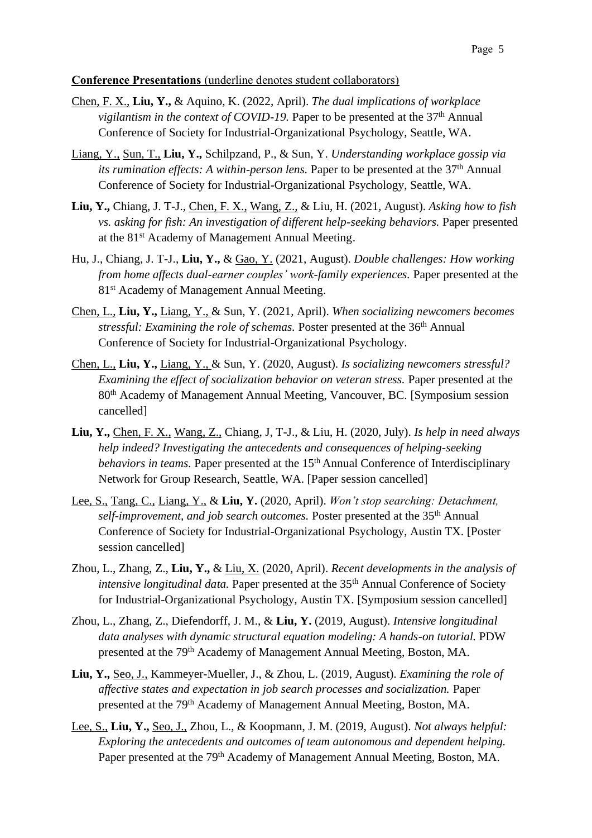### **Conference Presentations** (underline denotes student collaborators)

- Chen, F. X., **Liu, Y.,** & Aquino, K. (2022, April). *The dual implications of workplace*  vigilantism in the context of COVID-19. Paper to be presented at the 37<sup>th</sup> Annual Conference of Society for Industrial-Organizational Psychology, Seattle, WA.
- Liang, Y., Sun, T., **Liu, Y.,** Schilpzand, P., & Sun, Y. *Understanding workplace gossip via*  its rumination effects: A within-person lens. Paper to be presented at the 37<sup>th</sup> Annual Conference of Society for Industrial-Organizational Psychology, Seattle, WA.
- **Liu, Y.,** Chiang, J. T-J., Chen, F. X., Wang, Z., & Liu, H. (2021, August). *Asking how to fish vs. asking for fish: An investigation of different help-seeking behaviors.* Paper presented at the 81<sup>st</sup> Academy of Management Annual Meeting.
- Hu, J., Chiang, J. T-J., **Liu, Y.,** & Gao, Y. (2021, August). *Double challenges: How working from home affects dual-earner couples' work-family experiences.* Paper presented at the 81<sup>st</sup> Academy of Management Annual Meeting.
- Chen, L., **Liu, Y.,** Liang, Y., & Sun, Y. (2021, April). *When socializing newcomers becomes*  stressful: Examining the role of schemas. Poster presented at the 36<sup>th</sup> Annual Conference of Society for Industrial-Organizational Psychology.
- Chen, L., **Liu, Y.,** Liang, Y., & Sun, Y. (2020, August). *Is socializing newcomers stressful? Examining the effect of socialization behavior on veteran stress.* Paper presented at the 80th Academy of Management Annual Meeting, Vancouver, BC. [Symposium session cancelled]
- **Liu, Y.,** Chen, F. X., Wang, Z., Chiang, J, T-J., & Liu, H. (2020, July). *Is help in need always help indeed? Investigating the antecedents and consequences of helping-seeking behaviors in teams.* Paper presented at the 15<sup>th</sup> Annual Conference of Interdisciplinary Network for Group Research, Seattle, WA. [Paper session cancelled]
- Lee, S., Tang, C., Liang, Y., & **Liu, Y.** (2020, April). *Won't stop searching: Detachment, self-improvement, and job search outcomes.* Poster presented at the 35th Annual Conference of Society for Industrial-Organizational Psychology, Austin TX. [Poster session cancelled]
- Zhou, L., Zhang, Z., **Liu, Y.,** & Liu, X. (2020, April). *Recent developments in the analysis of intensive longitudinal data.* Paper presented at the 35<sup>th</sup> Annual Conference of Society for Industrial-Organizational Psychology, Austin TX. [Symposium session cancelled]
- Zhou, L., Zhang, Z., Diefendorff, J. M., & **Liu, Y.** (2019, August). *Intensive longitudinal data analyses with dynamic structural equation modeling: A hands-on tutorial.* PDW presented at the 79th Academy of Management Annual Meeting, Boston, MA.
- **Liu, Y.,** Seo, J., Kammeyer-Mueller, J., & Zhou, L. (2019, August). *Examining the role of affective states and expectation in job search processes and socialization.* Paper presented at the 79<sup>th</sup> Academy of Management Annual Meeting, Boston, MA.
- Lee, S., **Liu, Y.,** Seo, J., Zhou, L., & Koopmann, J. M. (2019, August). *Not always helpful: Exploring the antecedents and outcomes of team autonomous and dependent helping.* Paper presented at the 79<sup>th</sup> Academy of Management Annual Meeting, Boston, MA.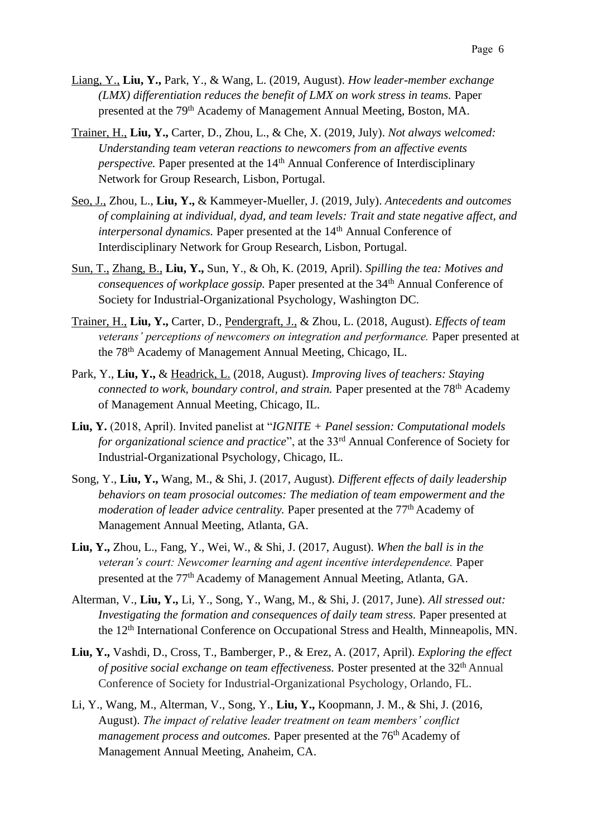- Liang, Y., **Liu, Y.,** Park, Y., & Wang, L. (2019, August). *How leader-member exchange (LMX) differentiation reduces the benefit of LMX on work stress in teams.* Paper presented at the 79<sup>th</sup> Academy of Management Annual Meeting, Boston, MA.
- Trainer, H., **Liu, Y.,** Carter, D., Zhou, L., & Che, X. (2019, July). *Not always welcomed: Understanding team veteran reactions to newcomers from an affective events perspective.* Paper presented at the 14<sup>th</sup> Annual Conference of Interdisciplinary Network for Group Research, Lisbon, Portugal.
- Seo, J., Zhou, L., **Liu, Y.,** & Kammeyer-Mueller, J. (2019, July). *Antecedents and outcomes of complaining at individual, dyad, and team levels: Trait and state negative affect, and interpersonal dynamics.* Paper presented at the 14<sup>th</sup> Annual Conference of Interdisciplinary Network for Group Research, Lisbon, Portugal.
- Sun, T., Zhang, B., **Liu, Y.,** Sun, Y., & Oh, K. (2019, April). *Spilling the tea: Motives and consequences of workplace gossip.* Paper presented at the 34<sup>th</sup> Annual Conference of Society for Industrial-Organizational Psychology, Washington DC.
- Trainer, H., **Liu, Y.,** Carter, D., Pendergraft, J., & Zhou, L. (2018, August). *Effects of team veterans' perceptions of newcomers on integration and performance.* Paper presented at the 78th Academy of Management Annual Meeting, Chicago, IL.
- Park, Y., **Liu, Y.,** & Headrick, L. (2018, August). *Improving lives of teachers: Staying connected to work, boundary control, and strain.* Paper presented at the 78<sup>th</sup> Academy of Management Annual Meeting, Chicago, IL.
- **Liu, Y.** (2018, April). Invited panelist at "*IGNITE + Panel session: Computational models for organizational science and practice*", at the 33<sup>rd</sup> Annual Conference of Society for Industrial-Organizational Psychology, Chicago, IL.
- Song, Y., **Liu, Y.,** Wang, M., & Shi, J. (2017, August)*. Different effects of daily leadership behaviors on team prosocial outcomes: The mediation of team empowerment and the*  moderation of leader advice centrality. Paper presented at the 77<sup>th</sup> Academy of Management Annual Meeting, Atlanta, GA.
- **Liu, Y.,** Zhou, L., Fang, Y., Wei, W., & Shi, J. (2017, August). *When the ball is in the veteran's court: Newcomer learning and agent incentive interdependence.* Paper presented at the 77<sup>th</sup> Academy of Management Annual Meeting, Atlanta, GA.
- Alterman, V., **Liu, Y.,** Li, Y., Song, Y., Wang, M., & Shi, J. (2017, June). *All stressed out: Investigating the formation and consequences of daily team stress.* Paper presented at the 12<sup>th</sup> International Conference on Occupational Stress and Health, Minneapolis, MN.
- **Liu, Y.,** Vashdi, D., Cross, T., Bamberger, P., & Erez, A. (2017, April). *Exploring the effect of positive social exchange on team effectiveness.* Poster presented at the 32th Annual Conference of Society for Industrial-Organizational Psychology, Orlando, FL.
- Li, Y., Wang, M., Alterman, V., Song, Y., **Liu, Y.,** Koopmann, J. M., & Shi, J. (2016, August). *The impact of relative leader treatment on team members' conflict management process and outcomes.* Paper presented at the 76<sup>th</sup> Academy of Management Annual Meeting, Anaheim, CA.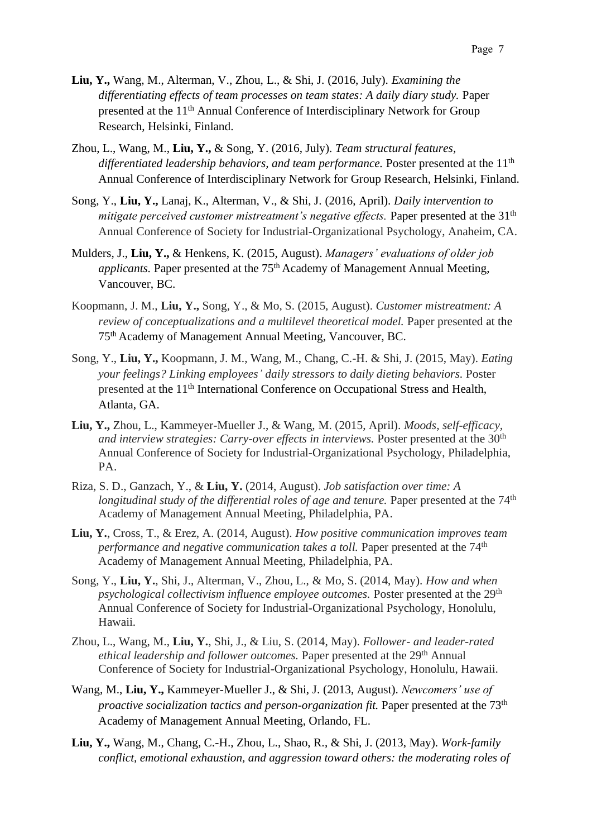- **Liu, Y.,** Wang, M., Alterman, V., Zhou, L., & Shi, J. (2016, July). *Examining the differentiating effects of team processes on team states: A daily diary study.* Paper presented at the 11th Annual Conference of Interdisciplinary Network for Group Research, Helsinki, Finland.
- Zhou, L., Wang, M., **Liu, Y.,** & Song, Y. (2016, July). *Team structural features,*  differentiated leadership behaviors, and team performance. Poster presented at the 11<sup>th</sup> Annual Conference of Interdisciplinary Network for Group Research, Helsinki, Finland.
- Song, Y., **Liu, Y.,** Lanaj, K., Alterman, V., & Shi, J. (2016, April). *Daily intervention to mitigate perceived customer mistreatment's negative effects.* Paper presented at the 31<sup>th</sup> Annual Conference of Society for Industrial-Organizational Psychology, Anaheim, CA.
- Mulders, J., **Liu, Y.,** & Henkens, K. (2015, August). *Managers' evaluations of older job*  applicants. Paper presented at the 75<sup>th</sup> Academy of Management Annual Meeting, Vancouver, BC.
- Koopmann, J. M., **Liu, Y.,** Song, Y., & Mo, S. (2015, August). *Customer mistreatment: A review of conceptualizations and a multilevel theoretical model.* Paper presented at the 75th Academy of Management Annual Meeting, Vancouver, BC.
- Song, Y., **Liu, Y.,** Koopmann, J. M., Wang, M., Chang, C.-H. & Shi, J. (2015, May). *Eating your feelings? Linking employees' daily stressors to daily dieting behaviors.* Poster presented at the 11th International Conference on Occupational Stress and Health, Atlanta, GA.
- **Liu, Y.,** Zhou, L., Kammeyer-Mueller J., & Wang, M. (2015, April). *Moods, self-efficacy, and interview strategies: Carry-over effects in interviews.* Poster presented at the 30<sup>th</sup> Annual Conference of Society for Industrial-Organizational Psychology, Philadelphia, PA.
- Riza, S. D., Ganzach, Y., & **Liu, Y.** (2014, August). *Job satisfaction over time: A longitudinal study of the differential roles of age and tenure.* Paper presented at the 74<sup>th</sup> Academy of Management Annual Meeting, Philadelphia, PA.
- **Liu, Y.**, Cross, T., & Erez, A. (2014, August). *How positive communication improves team performance and negative communication takes a toll. Paper presented at the 74<sup>th</sup>* Academy of Management Annual Meeting, Philadelphia, PA.
- Song, Y., **Liu, Y.**, Shi, J., Alterman, V., Zhou, L., & Mo, S. (2014, May). *How and when psychological collectivism influence employee outcomes.* Poster presented at the 29<sup>th</sup> Annual Conference of Society for Industrial-Organizational Psychology, Honolulu, Hawaii.
- Zhou, L., Wang, M., **Liu, Y.**, Shi, J., & Liu, S. (2014, May). *Follower- and leader-rated ethical leadership and follower outcomes.* Paper presented at the 29th Annual Conference of Society for Industrial-Organizational Psychology, Honolulu, Hawaii.
- Wang, M., **Liu, Y.,** Kammeyer-Mueller J., & Shi, J. (2013, August). *Newcomers' use of proactive socialization tactics and person-organization fit.* Paper presented at the 73<sup>th</sup> Academy of Management Annual Meeting, Orlando, FL.
- **Liu, Y.,** Wang, M., Chang, C.-H., Zhou, L., Shao, R., & Shi, J. (2013, May). *Work-family conflict, emotional exhaustion, and aggression toward others: the moderating roles of*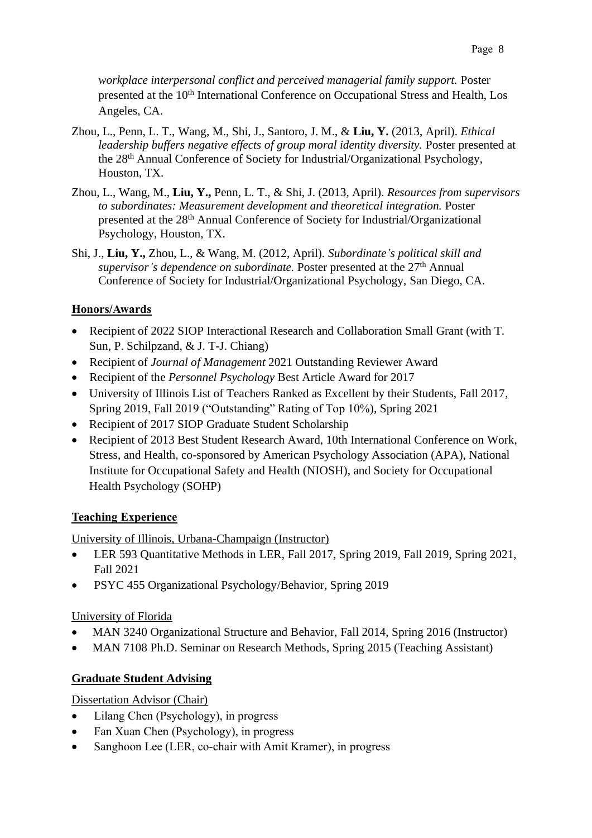*workplace interpersonal conflict and perceived managerial family support.* Poster presented at the 10<sup>th</sup> International Conference on Occupational Stress and Health, Los Angeles, CA.

- Zhou, L., Penn, L. T., Wang, M., Shi, J., Santoro, J. M., & **Liu, Y.** (2013, April). *Ethical leadership buffers negative effects of group moral identity diversity.* Poster presented at the 28th Annual Conference of Society for Industrial/Organizational Psychology, Houston, TX.
- Zhou, L., Wang, M., **Liu, Y.,** Penn, L. T., & Shi, J. (2013, April). *Resources from supervisors to subordinates: Measurement development and theoretical integration.* Poster presented at the 28th Annual Conference of Society for Industrial/Organizational Psychology, Houston, TX.
- Shi, J., **Liu, Y.,** Zhou, L., & Wang, M. (2012, April). *Subordinate's political skill and*  supervisor's dependence on subordinate. Poster presented at the 27<sup>th</sup> Annual Conference of Society for Industrial/Organizational Psychology, San Diego, CA.

# **Honors/Awards**

- Recipient of 2022 SIOP Interactional Research and Collaboration Small Grant (with T. Sun, P. Schilpzand, & J. T-J. Chiang)
- Recipient of *Journal of Management* 2021 Outstanding Reviewer Award
- Recipient of the *Personnel Psychology* Best Article Award for 2017
- University of Illinois List of Teachers Ranked as Excellent by their Students, Fall 2017, Spring 2019, Fall 2019 ("Outstanding" Rating of Top 10%), Spring 2021
- Recipient of 2017 SIOP Graduate Student Scholarship
- Recipient of 2013 Best Student Research Award, 10th International Conference on Work, Stress, and Health, co-sponsored by American Psychology Association (APA), National Institute for Occupational Safety and Health (NIOSH), and Society for Occupational Health Psychology (SOHP)

# **Teaching Experience**

University of Illinois, Urbana-Champaign (Instructor)

- LER 593 Quantitative Methods in LER, Fall 2017, Spring 2019, Fall 2019, Spring 2021, Fall 2021
- PSYC 455 Organizational Psychology/Behavior, Spring 2019

# University of Florida

- MAN 3240 Organizational Structure and Behavior, Fall 2014, Spring 2016 (Instructor)
- MAN 7108 Ph.D. Seminar on Research Methods, Spring 2015 (Teaching Assistant)

# **Graduate Student Advising**

Dissertation Advisor (Chair)

- Lilang Chen (Psychology), in progress
- Fan Xuan Chen (Psychology), in progress
- Sanghoon Lee (LER, co-chair with Amit Kramer), in progress